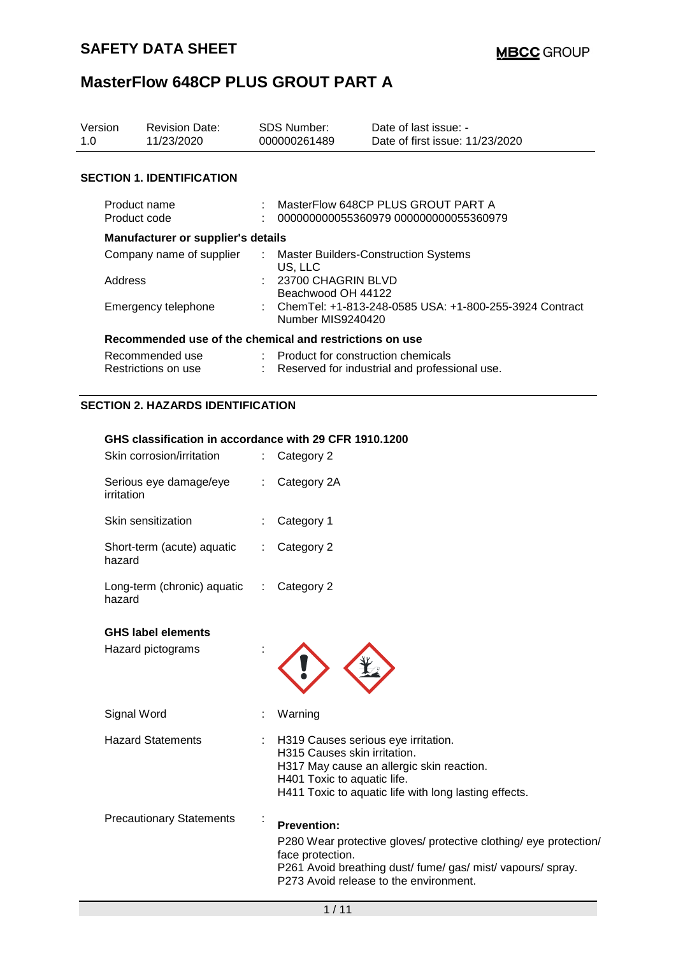| Version<br>1.0                         | <b>Revision Date:</b><br>11/23/2020                     |    | <b>SDS Number:</b><br>000000261489                                                                | Date of last issue: -<br>Date of first issue: 11/23/2020 |  |  |  |
|----------------------------------------|---------------------------------------------------------|----|---------------------------------------------------------------------------------------------------|----------------------------------------------------------|--|--|--|
|                                        | <b>SECTION 1. IDENTIFICATION</b>                        |    |                                                                                                   |                                                          |  |  |  |
|                                        | Product name<br>Product code                            |    | MasterFlow 648CP PLUS GROUT PART A<br>000000000055360979 000000000055360979                       |                                                          |  |  |  |
|                                        | <b>Manufacturer or supplier's details</b>               |    |                                                                                                   |                                                          |  |  |  |
| Company name of supplier<br>Address    |                                                         | ÷  | <b>Master Builders-Construction Systems</b><br>US, LLC<br>23700 CHAGRIN BLVD                      |                                                          |  |  |  |
|                                        | Emergency telephone                                     |    | Beachwood OH 44122<br>ChemTel: +1-813-248-0585 USA: +1-800-255-3924 Contract<br>Number MIS9240420 |                                                          |  |  |  |
|                                        | Recommended use of the chemical and restrictions on use |    |                                                                                                   |                                                          |  |  |  |
| Recommended use<br>Restrictions on use |                                                         |    | : Product for construction chemicals<br>Reserved for industrial and professional use.             |                                                          |  |  |  |
|                                        | <b>SECTION 2. HAZARDS IDENTIFICATION</b>                |    |                                                                                                   |                                                          |  |  |  |
|                                        | GHS classification in accordance with 29 CFR 1910.1200  |    |                                                                                                   |                                                          |  |  |  |
|                                        | Skin corrosion/irritation                               |    | Category 2                                                                                        |                                                          |  |  |  |
| Serious eye damage/eye<br>irritation   |                                                         | ÷. | Category 2A                                                                                       |                                                          |  |  |  |

| Skin sensitization                    | $:$ Category 1          |
|---------------------------------------|-------------------------|
| Short-term (acute) aquatic<br>hazard  | $\therefore$ Category 2 |
| Long-term (chronic) aquatic<br>hazard | $\therefore$ Category 2 |

### GI

| <b>GHS label elements</b><br>Hazard pictograms |                                                                                                                                                                                                                      |
|------------------------------------------------|----------------------------------------------------------------------------------------------------------------------------------------------------------------------------------------------------------------------|
| Signal Word                                    | Warning                                                                                                                                                                                                              |
| Hazard Statements                              | : H319 Causes serious eye irritation.<br>H315 Causes skin irritation.<br>H317 May cause an allergic skin reaction.<br>H401 Toxic to aquatic life.<br>H411 Toxic to aquatic life with long lasting effects.           |
| Precautionary Statements                       | <b>Prevention:</b><br>P280 Wear protective gloves/ protective clothing/ eye protection/<br>face protection.<br>P261 Avoid breathing dust/ fume/ gas/ mist/ vapours/ spray.<br>P273 Avoid release to the environment. |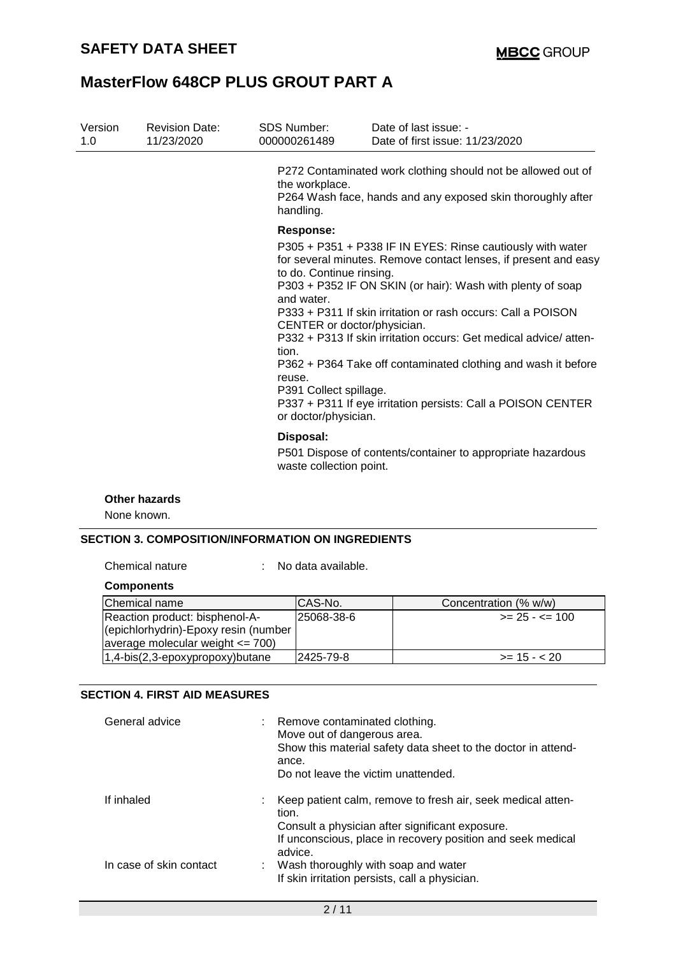| Version<br>1.0 | <b>Revision Date:</b><br>11/23/2020 | SDS Number:<br>000000261489                                                                                                                                    | Date of last issue: -<br>Date of first issue: 11/23/2020                                                                                                                                                                                                                                                                                                                                                                                                         |
|----------------|-------------------------------------|----------------------------------------------------------------------------------------------------------------------------------------------------------------|------------------------------------------------------------------------------------------------------------------------------------------------------------------------------------------------------------------------------------------------------------------------------------------------------------------------------------------------------------------------------------------------------------------------------------------------------------------|
|                |                                     | the workplace.<br>handling.                                                                                                                                    | P272 Contaminated work clothing should not be allowed out of<br>P264 Wash face, hands and any exposed skin thoroughly after                                                                                                                                                                                                                                                                                                                                      |
|                |                                     | <b>Response:</b><br>to do. Continue rinsing.<br>and water.<br>CENTER or doctor/physician.<br>tion.<br>reuse.<br>P391 Collect spillage.<br>or doctor/physician. | P305 + P351 + P338 IF IN EYES: Rinse cautiously with water<br>for several minutes. Remove contact lenses, if present and easy<br>P303 + P352 IF ON SKIN (or hair): Wash with plenty of soap<br>P333 + P311 If skin irritation or rash occurs: Call a POISON<br>P332 + P313 If skin irritation occurs: Get medical advice/atten-<br>P362 + P364 Take off contaminated clothing and wash it before<br>P337 + P311 If eye irritation persists: Call a POISON CENTER |
|                |                                     | Disposal:<br>waste collection point.                                                                                                                           | P501 Dispose of contents/container to appropriate hazardous                                                                                                                                                                                                                                                                                                                                                                                                      |
|                | <b>Other hazards</b>                |                                                                                                                                                                |                                                                                                                                                                                                                                                                                                                                                                                                                                                                  |

None known.

#### **SECTION 3. COMPOSITION/INFORMATION ON INGREDIENTS**

Chemical nature : No data available.

#### **Components**

| Chemical name                        | ICAS-No.          | Concentration (% w/w) |
|--------------------------------------|-------------------|-----------------------|
| Reaction product: bisphenol-A-       | <b>25068-38-6</b> | $>= 25 - 5 = 100$     |
| (epichlorhydrin)-Epoxy resin (number |                   |                       |
| average molecular weight $\leq$ 700) |                   |                       |
| $1,4-bis(2,3-epoxypropoxy)butane$    | 12425-79-8        | $>= 15 - 20$          |

#### **SECTION 4. FIRST AID MEASURES**

| General advice          | : Remove contaminated clothing.<br>Move out of dangerous area.<br>Show this material safety data sheet to the doctor in attend-<br>ance.<br>Do not leave the victim unattended.                     |  |
|-------------------------|-----------------------------------------------------------------------------------------------------------------------------------------------------------------------------------------------------|--|
| If inhaled              | : Keep patient calm, remove to fresh air, seek medical atten-<br>tion.<br>Consult a physician after significant exposure.<br>If unconscious, place in recovery position and seek medical<br>advice. |  |
| In case of skin contact | Wash thoroughly with soap and water<br>If skin irritation persists, call a physician.                                                                                                               |  |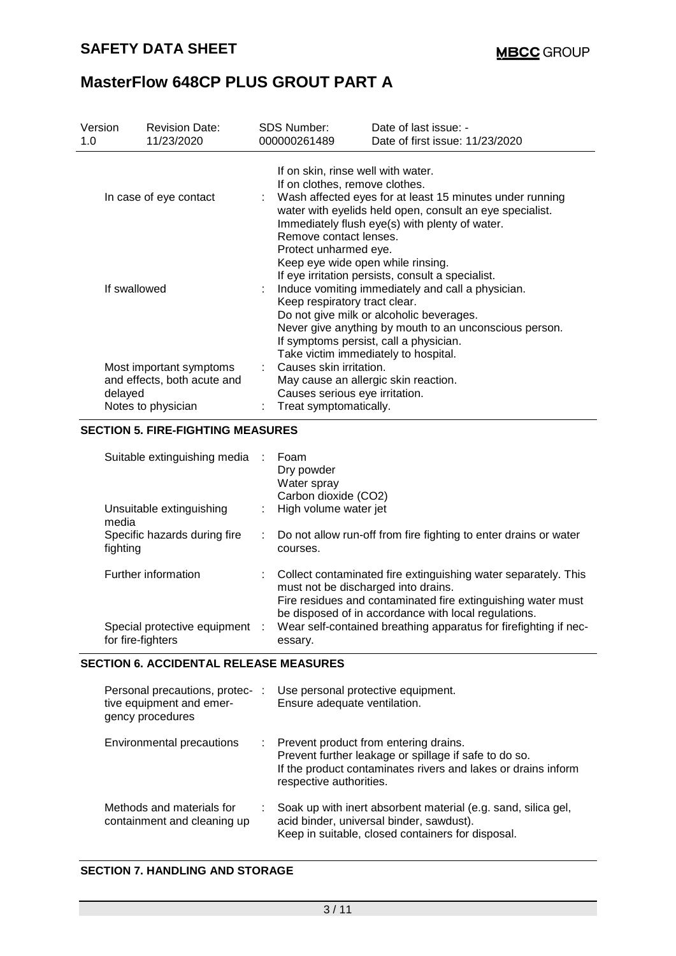| Version<br>1.0                                                                                                                    | <b>Revision Date:</b><br>11/23/2020 | <b>SDS Number:</b><br>000000261489                                                                                                                                                                                                                                       | Date of last issue: -<br>Date of first issue: 11/23/2020                                                                                                                                                     |  |  |  |  |
|-----------------------------------------------------------------------------------------------------------------------------------|-------------------------------------|--------------------------------------------------------------------------------------------------------------------------------------------------------------------------------------------------------------------------------------------------------------------------|--------------------------------------------------------------------------------------------------------------------------------------------------------------------------------------------------------------|--|--|--|--|
| In case of eye contact<br>If swallowed<br>Most important symptoms<br>and effects, both acute and<br>delayed<br>Notes to physician |                                     | If on skin, rinse well with water.<br>If on clothes, remove clothes.<br>Wash affected eyes for at least 15 minutes under running<br>water with eyelids held open, consult an eye specialist.<br>Immediately flush eye(s) with plenty of water.<br>Remove contact lenses. |                                                                                                                                                                                                              |  |  |  |  |
|                                                                                                                                   |                                     | Protect unharmed eye.<br>Keep eye wide open while rinsing.<br>Keep respiratory tract clear.                                                                                                                                                                              | If eye irritation persists, consult a specialist.<br>Induce vomiting immediately and call a physician.<br>Do not give milk or alcoholic beverages.<br>Never give anything by mouth to an unconscious person. |  |  |  |  |
|                                                                                                                                   |                                     | Causes skin irritation.<br>Causes serious eye irritation.<br>Treat symptomatically.                                                                                                                                                                                      | If symptoms persist, call a physician.<br>Take victim immediately to hospital.<br>May cause an allergic skin reaction.                                                                                       |  |  |  |  |

#### **SECTION 5. FIRE-FIGHTING MEASURES**

| Suitable extinguishing media                        |    | Foam<br>Dry powder<br>Water spray<br>Carbon dioxide (CO2)                                                                                                                                                                     |
|-----------------------------------------------------|----|-------------------------------------------------------------------------------------------------------------------------------------------------------------------------------------------------------------------------------|
| Unsuitable extinguishing<br>media                   |    | : High volume water jet                                                                                                                                                                                                       |
| Specific hazards during fire<br>fighting            | ÷. | Do not allow run-off from fire fighting to enter drains or water<br>courses.                                                                                                                                                  |
| Further information                                 |    | Collect contaminated fire extinguishing water separately. This<br>must not be discharged into drains.<br>Fire residues and contaminated fire extinguishing water must<br>be disposed of in accordance with local regulations. |
| Special protective equipment :<br>for fire-fighters |    | Wear self-contained breathing apparatus for firefighting if nec-<br>essary.                                                                                                                                                   |

#### **SECTION 6. ACCIDENTAL RELEASE MEASURES**

| Personal precautions, protec-:<br>tive equipment and emer-<br>gency procedures | Use personal protective equipment.<br>Ensure adequate ventilation.                                                                                                                           |
|--------------------------------------------------------------------------------|----------------------------------------------------------------------------------------------------------------------------------------------------------------------------------------------|
| Environmental precautions                                                      | : Prevent product from entering drains.<br>Prevent further leakage or spillage if safe to do so.<br>If the product contaminates rivers and lakes or drains inform<br>respective authorities. |
| Methods and materials for<br>containment and cleaning up                       | Soak up with inert absorbent material (e.g. sand, silica gel,<br>acid binder, universal binder, sawdust).<br>Keep in suitable, closed containers for disposal.                               |

#### **SECTION 7. HANDLING AND STORAGE**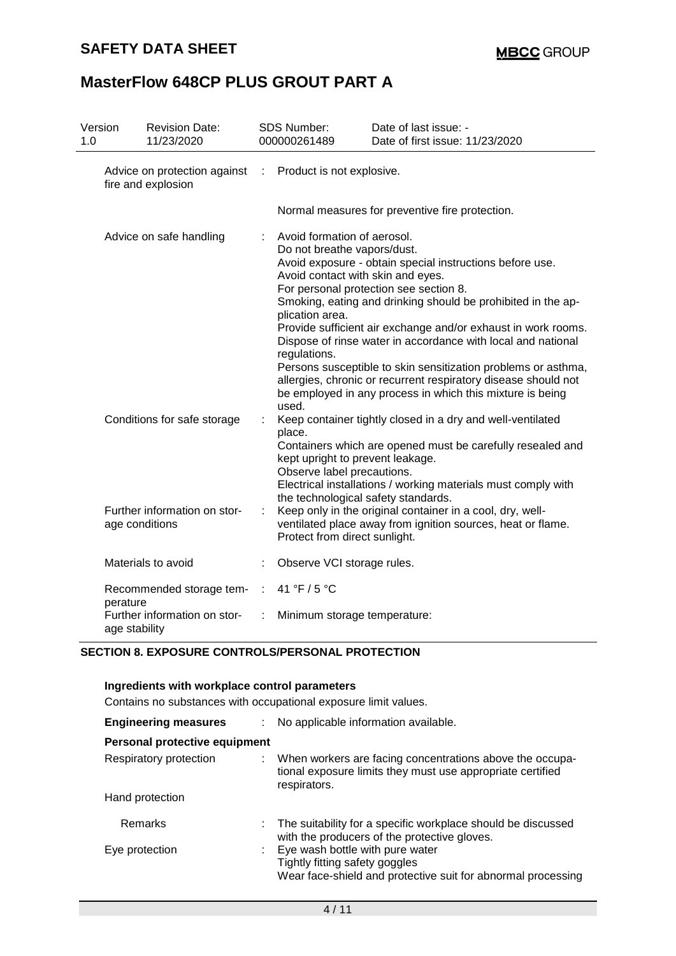### **SAFETY DATA SHEET**

## **MasterFlow 648CP PLUS GROUT PART A**

| Version<br>1.0 |                                                    | <b>Revision Date:</b><br>11/23/2020 |                                                                                                                                                                                                                                                                                                              | <b>SDS Number:</b><br>000000261489                                                                                                                                                                                                                                                                                                                                                                                                                                                                                                                                                                                                                 | Date of last issue: -<br>Date of first issue: 11/23/2020                                                                 |  |  |  |
|----------------|----------------------------------------------------|-------------------------------------|--------------------------------------------------------------------------------------------------------------------------------------------------------------------------------------------------------------------------------------------------------------------------------------------------------------|----------------------------------------------------------------------------------------------------------------------------------------------------------------------------------------------------------------------------------------------------------------------------------------------------------------------------------------------------------------------------------------------------------------------------------------------------------------------------------------------------------------------------------------------------------------------------------------------------------------------------------------------------|--------------------------------------------------------------------------------------------------------------------------|--|--|--|
|                | Advice on protection against<br>fire and explosion |                                     | - 1                                                                                                                                                                                                                                                                                                          | Product is not explosive.                                                                                                                                                                                                                                                                                                                                                                                                                                                                                                                                                                                                                          |                                                                                                                          |  |  |  |
|                |                                                    |                                     |                                                                                                                                                                                                                                                                                                              | Normal measures for preventive fire protection.                                                                                                                                                                                                                                                                                                                                                                                                                                                                                                                                                                                                    |                                                                                                                          |  |  |  |
|                | Advice on safe handling                            |                                     |                                                                                                                                                                                                                                                                                                              | Avoid formation of aerosol.<br>Do not breathe vapors/dust.<br>Avoid exposure - obtain special instructions before use.<br>Avoid contact with skin and eyes.<br>For personal protection see section 8.<br>Smoking, eating and drinking should be prohibited in the ap-<br>plication area.<br>Provide sufficient air exchange and/or exhaust in work rooms.<br>Dispose of rinse water in accordance with local and national<br>regulations.<br>Persons susceptible to skin sensitization problems or asthma,<br>allergies, chronic or recurrent respiratory disease should not<br>be employed in any process in which this mixture is being<br>used. |                                                                                                                          |  |  |  |
|                |                                                    | Conditions for safe storage         | Keep container tightly closed in a dry and well-ventilated<br>place.<br>Containers which are opened must be carefully resealed and<br>kept upright to prevent leakage.<br>Observe label precautions.<br>Electrical installations / working materials must comply with<br>the technological safety standards. |                                                                                                                                                                                                                                                                                                                                                                                                                                                                                                                                                                                                                                                    |                                                                                                                          |  |  |  |
|                | age conditions                                     | Further information on stor-        |                                                                                                                                                                                                                                                                                                              | Protect from direct sunlight.                                                                                                                                                                                                                                                                                                                                                                                                                                                                                                                                                                                                                      | Keep only in the original container in a cool, dry, well-<br>ventilated place away from ignition sources, heat or flame. |  |  |  |
|                |                                                    | Materials to avoid                  |                                                                                                                                                                                                                                                                                                              | Observe VCI storage rules.                                                                                                                                                                                                                                                                                                                                                                                                                                                                                                                                                                                                                         |                                                                                                                          |  |  |  |
|                | perature                                           | Recommended storage tem-            |                                                                                                                                                                                                                                                                                                              | 41 °F / 5 °C                                                                                                                                                                                                                                                                                                                                                                                                                                                                                                                                                                                                                                       |                                                                                                                          |  |  |  |
|                | age stability                                      | Further information on stor-        |                                                                                                                                                                                                                                                                                                              | Minimum storage temperature:                                                                                                                                                                                                                                                                                                                                                                                                                                                                                                                                                                                                                       |                                                                                                                          |  |  |  |

#### **SECTION 8. EXPOSURE CONTROLS/PERSONAL PROTECTION**

#### **Ingredients with workplace control parameters**

Contains no substances with occupational exposure limit values.

| <b>Engineering measures</b>   |  | No applicable information available.                                                                                                   |  |
|-------------------------------|--|----------------------------------------------------------------------------------------------------------------------------------------|--|
| Personal protective equipment |  |                                                                                                                                        |  |
| Respiratory protection        |  | When workers are facing concentrations above the occupa-<br>tional exposure limits they must use appropriate certified<br>respirators. |  |
| Hand protection               |  |                                                                                                                                        |  |
| Remarks                       |  | The suitability for a specific workplace should be discussed<br>with the producers of the protective gloves.                           |  |
| Eye protection                |  | : Eye wash bottle with pure water<br>Tightly fitting safety goggles<br>Wear face-shield and protective suit for abnormal processing    |  |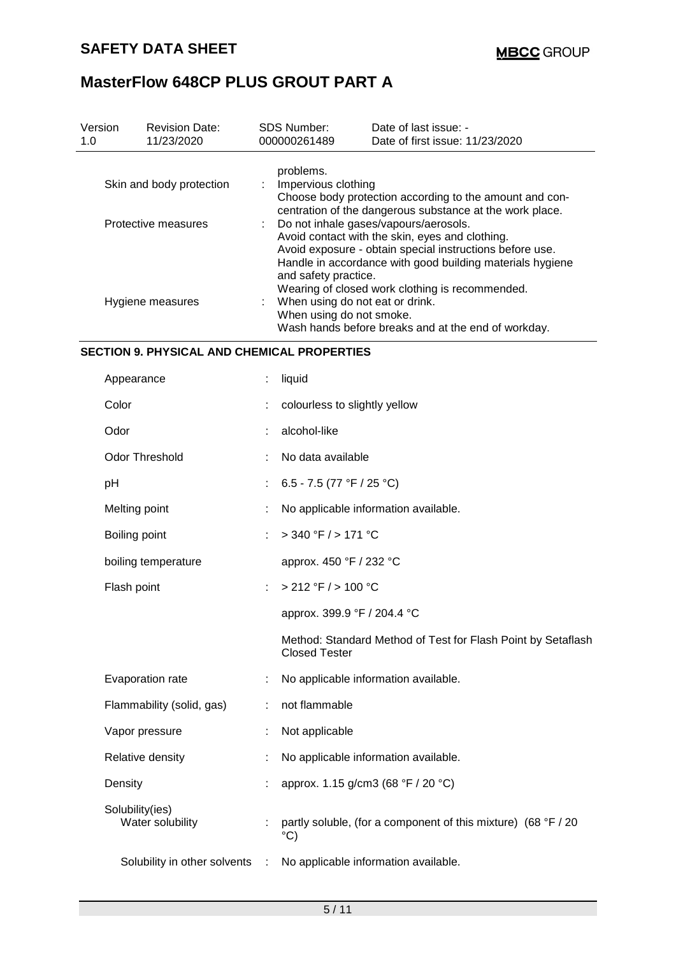| Version<br>1.0 | <b>Revision Date:</b><br>11/23/2020                                 |    | SDS Number:<br>000000261489                                                                                                                                                                                                                                                                                                                                                                                                                                                                | Date of last issue: -<br>Date of first issue: 11/23/2020      |  |  |
|----------------|---------------------------------------------------------------------|----|--------------------------------------------------------------------------------------------------------------------------------------------------------------------------------------------------------------------------------------------------------------------------------------------------------------------------------------------------------------------------------------------------------------------------------------------------------------------------------------------|---------------------------------------------------------------|--|--|
|                | Skin and body protection<br>Protective measures<br>Hygiene measures |    | problems.<br>Impervious clothing<br>Choose body protection according to the amount and con-<br>centration of the dangerous substance at the work place.<br>Do not inhale gases/vapours/aerosols.<br>Avoid contact with the skin, eyes and clothing.<br>Avoid exposure - obtain special instructions before use.<br>Handle in accordance with good building materials hygiene<br>and safety practice.<br>Wearing of closed work clothing is recommended.<br>When using do not eat or drink. |                                                               |  |  |
|                |                                                                     |    | When using do not smoke.                                                                                                                                                                                                                                                                                                                                                                                                                                                                   | Wash hands before breaks and at the end of workday.           |  |  |
|                | <b>SECTION 9. PHYSICAL AND CHEMICAL PROPERTIES</b>                  |    |                                                                                                                                                                                                                                                                                                                                                                                                                                                                                            |                                                               |  |  |
|                | Appearance                                                          | ÷. | liquid                                                                                                                                                                                                                                                                                                                                                                                                                                                                                     |                                                               |  |  |
| Color          |                                                                     |    | colourless to slightly yellow                                                                                                                                                                                                                                                                                                                                                                                                                                                              |                                                               |  |  |
| Odor           |                                                                     |    | alcohol-like                                                                                                                                                                                                                                                                                                                                                                                                                                                                               |                                                               |  |  |
|                | Odor Threshold                                                      |    | No data available                                                                                                                                                                                                                                                                                                                                                                                                                                                                          |                                                               |  |  |
| pH             |                                                                     |    | 6.5 - 7.5 (77 °F / 25 °C)                                                                                                                                                                                                                                                                                                                                                                                                                                                                  |                                                               |  |  |
|                | Melting point                                                       | ÷  |                                                                                                                                                                                                                                                                                                                                                                                                                                                                                            | No applicable information available.                          |  |  |
|                | Boiling point                                                       | ÷  | $>$ 340 °F / $>$ 171 °C                                                                                                                                                                                                                                                                                                                                                                                                                                                                    |                                                               |  |  |
|                | boiling temperature                                                 |    | approx. 450 °F / 232 °C                                                                                                                                                                                                                                                                                                                                                                                                                                                                    |                                                               |  |  |
|                | Flash point                                                         |    | > 212 °F / > 100 °C                                                                                                                                                                                                                                                                                                                                                                                                                                                                        |                                                               |  |  |
|                |                                                                     |    | approx. 399.9 °F / 204.4 °C                                                                                                                                                                                                                                                                                                                                                                                                                                                                |                                                               |  |  |
|                |                                                                     |    | <b>Closed Tester</b>                                                                                                                                                                                                                                                                                                                                                                                                                                                                       | Method: Standard Method of Test for Flash Point by Setaflash  |  |  |
|                | Evaporation rate                                                    |    |                                                                                                                                                                                                                                                                                                                                                                                                                                                                                            | No applicable information available.                          |  |  |
|                | Flammability (solid, gas)                                           |    | not flammable                                                                                                                                                                                                                                                                                                                                                                                                                                                                              |                                                               |  |  |
|                | Vapor pressure                                                      |    | Not applicable                                                                                                                                                                                                                                                                                                                                                                                                                                                                             |                                                               |  |  |
|                | Relative density                                                    |    |                                                                                                                                                                                                                                                                                                                                                                                                                                                                                            | No applicable information available.                          |  |  |
| Density        |                                                                     |    |                                                                                                                                                                                                                                                                                                                                                                                                                                                                                            | approx. 1.15 g/cm3 (68 °F / 20 °C)                            |  |  |
|                | Solubility(ies)<br>Water solubility                                 |    | °C)                                                                                                                                                                                                                                                                                                                                                                                                                                                                                        | partly soluble, (for a component of this mixture) (68 °F / 20 |  |  |
|                | Solubility in other solvents                                        | ÷  |                                                                                                                                                                                                                                                                                                                                                                                                                                                                                            | No applicable information available.                          |  |  |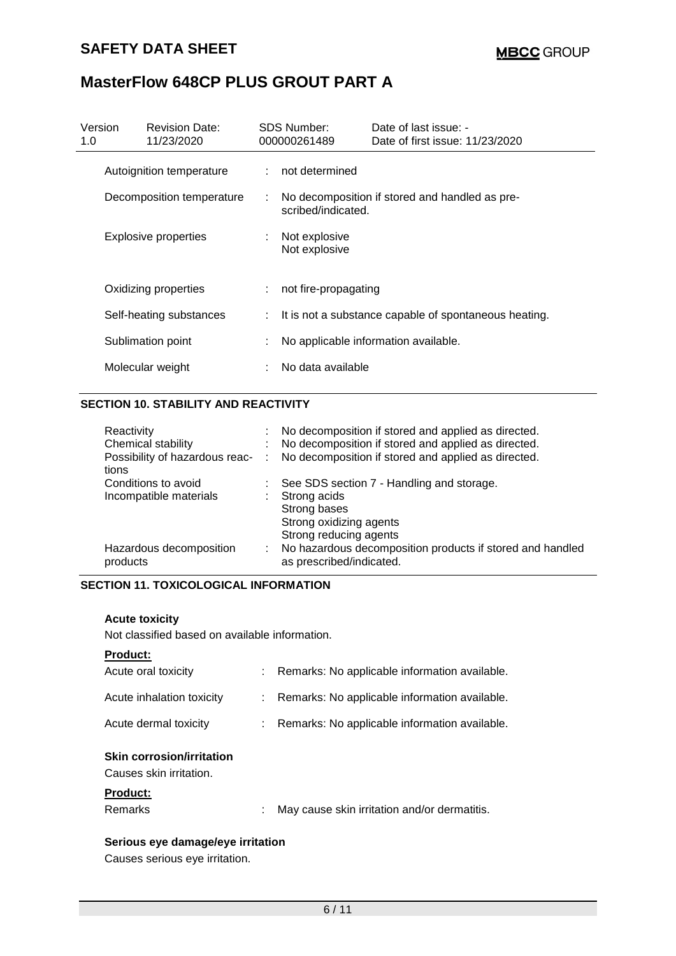### **SAFETY DATA SHEET**

## **MasterFlow 648CP PLUS GROUT PART A**

| Version<br>1.0 |                           | <b>Revision Date:</b><br>11/23/2020 |    | <b>SDS Number:</b><br>000000261489                                   | Date of last issue: -<br>Date of first issue: 11/23/2020 |  |
|----------------|---------------------------|-------------------------------------|----|----------------------------------------------------------------------|----------------------------------------------------------|--|
|                | Autoignition temperature  |                                     | ÷. | not determined                                                       |                                                          |  |
|                | Decomposition temperature |                                     |    | No decomposition if stored and handled as pre-<br>scribed/indicated. |                                                          |  |
|                |                           | Explosive properties                |    | Not explosive<br>Not explosive                                       |                                                          |  |
|                |                           | Oxidizing properties                |    | not fire-propagating                                                 |                                                          |  |
|                | Self-heating substances   |                                     | ÷. |                                                                      | It is not a substance capable of spontaneous heating.    |  |
|                |                           | Sublimation point                   |    |                                                                      | No applicable information available.                     |  |
|                |                           | Molecular weight                    |    | No data available                                                    |                                                          |  |

### **SECTION 10. STABILITY AND REACTIVITY**

| Reactivity                                |    | No decomposition if stored and applied as directed.                                   |
|-------------------------------------------|----|---------------------------------------------------------------------------------------|
| Chemical stability                        | ÷. | No decomposition if stored and applied as directed.                                   |
| Possibility of hazardous reac- :<br>tions |    | No decomposition if stored and applied as directed.                                   |
| Conditions to avoid                       |    | See SDS section 7 - Handling and storage.                                             |
| Incompatible materials                    |    | Strong acids                                                                          |
|                                           |    | Strong bases                                                                          |
|                                           |    | Strong oxidizing agents                                                               |
|                                           |    | Strong reducing agents                                                                |
| Hazardous decomposition<br>products       | ÷. | No hazardous decomposition products if stored and handled<br>as prescribed/indicated. |

#### **SECTION 11. TOXICOLOGICAL INFORMATION**

#### **Acute toxicity**

Not classified based on available information.

#### **Product:**

| <b>Skin corrosion/irritation</b><br>$\mathcal{L}$ . The set of the set of the set of the set of the set of the set of the set of the set of the set of the set of the set of the set of the set of the set of the set of the set of the set of the set of the set of t |                                                 |
|------------------------------------------------------------------------------------------------------------------------------------------------------------------------------------------------------------------------------------------------------------------------|-------------------------------------------------|
| Acute dermal toxicity                                                                                                                                                                                                                                                  | : Remarks: No applicable information available. |
| Acute inhalation toxicity                                                                                                                                                                                                                                              | : Remarks: No applicable information available. |
| Acute oral toxicity                                                                                                                                                                                                                                                    | Remarks: No applicable information available.   |

Causes skin irritation.

#### **Product:**

| Remarks |  | May cause skin irritation and/or dermatitis. |  |  |
|---------|--|----------------------------------------------|--|--|
|---------|--|----------------------------------------------|--|--|

### **Serious eye damage/eye irritation**

Causes serious eye irritation.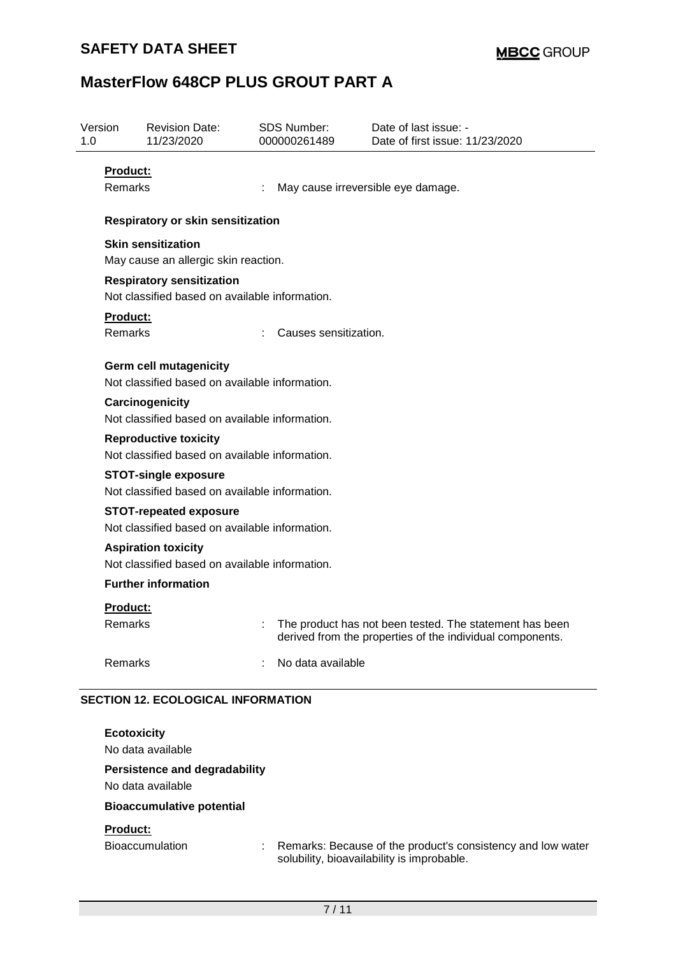| Version<br>1.0 |                                                                                    | <b>Revision Date:</b><br>11/23/2020                                             |  | SDS Number:<br>000000261489 | Date of last issue: -<br>Date of first issue: 11/23/2020                                                               |  |  |  |  |  |
|----------------|------------------------------------------------------------------------------------|---------------------------------------------------------------------------------|--|-----------------------------|------------------------------------------------------------------------------------------------------------------------|--|--|--|--|--|
|                | Product:                                                                           |                                                                                 |  |                             |                                                                                                                        |  |  |  |  |  |
|                | Remarks                                                                            |                                                                                 |  |                             | May cause irreversible eye damage.                                                                                     |  |  |  |  |  |
|                | Respiratory or skin sensitization                                                  |                                                                                 |  |                             |                                                                                                                        |  |  |  |  |  |
|                |                                                                                    | <b>Skin sensitization</b><br>May cause an allergic skin reaction.               |  |                             |                                                                                                                        |  |  |  |  |  |
|                | <b>Respiratory sensitization</b><br>Not classified based on available information. |                                                                                 |  |                             |                                                                                                                        |  |  |  |  |  |
|                | Product:                                                                           |                                                                                 |  |                             |                                                                                                                        |  |  |  |  |  |
|                | <b>Remarks</b>                                                                     |                                                                                 |  | Causes sensitization.       |                                                                                                                        |  |  |  |  |  |
|                |                                                                                    | <b>Germ cell mutagenicity</b><br>Not classified based on available information. |  |                             |                                                                                                                        |  |  |  |  |  |
|                |                                                                                    | Carcinogenicity<br>Not classified based on available information.               |  |                             |                                                                                                                        |  |  |  |  |  |
|                |                                                                                    | <b>Reproductive toxicity</b><br>Not classified based on available information.  |  |                             |                                                                                                                        |  |  |  |  |  |
|                |                                                                                    | <b>STOT-single exposure</b><br>Not classified based on available information.   |  |                             |                                                                                                                        |  |  |  |  |  |
|                |                                                                                    | <b>STOT-repeated exposure</b><br>Not classified based on available information. |  |                             |                                                                                                                        |  |  |  |  |  |
|                |                                                                                    | <b>Aspiration toxicity</b>                                                      |  |                             |                                                                                                                        |  |  |  |  |  |
|                |                                                                                    | Not classified based on available information.                                  |  |                             |                                                                                                                        |  |  |  |  |  |
|                |                                                                                    | <b>Further information</b>                                                      |  |                             |                                                                                                                        |  |  |  |  |  |
|                | <b>Product:</b>                                                                    |                                                                                 |  |                             |                                                                                                                        |  |  |  |  |  |
|                | Remarks                                                                            |                                                                                 |  |                             | : The product has not been tested. The statement has been<br>derived from the properties of the individual components. |  |  |  |  |  |
|                | Remarks                                                                            |                                                                                 |  | No data available           |                                                                                                                        |  |  |  |  |  |
|                |                                                                                    | <b>SECTION 12. ECOLOGICAL INFORMATION</b>                                       |  |                             |                                                                                                                        |  |  |  |  |  |
|                | <b>Ecotoxicity</b>                                                                 |                                                                                 |  |                             |                                                                                                                        |  |  |  |  |  |
|                |                                                                                    | No data available                                                               |  |                             |                                                                                                                        |  |  |  |  |  |
|                |                                                                                    | <b>Persistence and degradability</b>                                            |  |                             |                                                                                                                        |  |  |  |  |  |
|                |                                                                                    | No data available                                                               |  |                             |                                                                                                                        |  |  |  |  |  |
|                |                                                                                    | <b>Bioaccumulative potential</b>                                                |  |                             |                                                                                                                        |  |  |  |  |  |
|                | Product:                                                                           |                                                                                 |  |                             |                                                                                                                        |  |  |  |  |  |

Bioaccumulation : Remarks: Because of the product's consistency and low water solubility, bioavailability is improbable.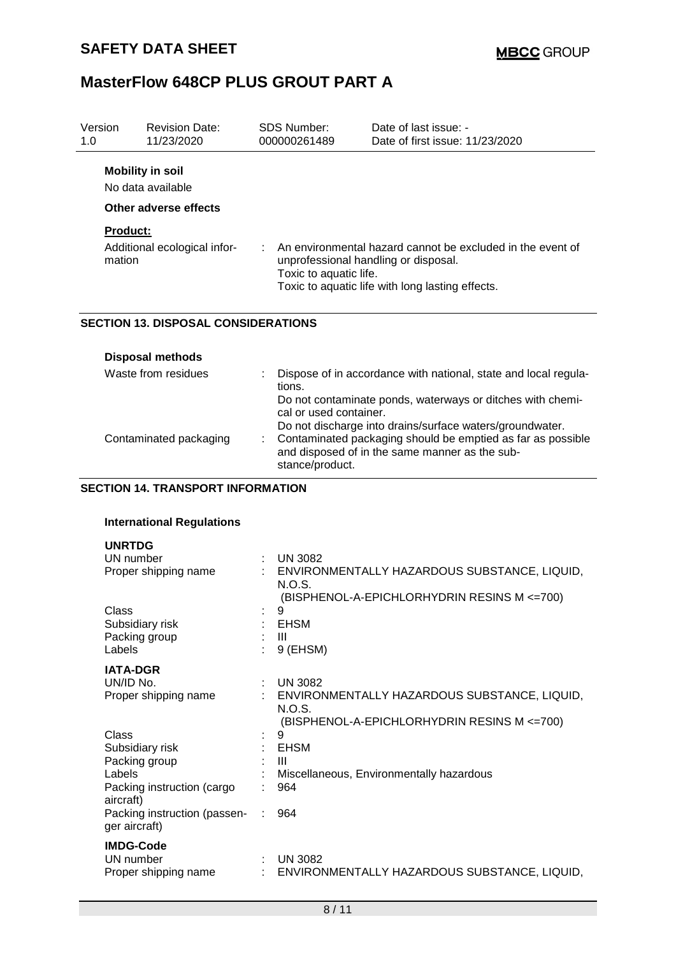| Version<br>1.0 | <b>Revision Date:</b><br>11/23/2020                                   | SDS Number:<br>000000261489 | Date of last issue: -<br>Date of first issue: 11/23/2020                                                                                               |
|----------------|-----------------------------------------------------------------------|-----------------------------|--------------------------------------------------------------------------------------------------------------------------------------------------------|
|                | <b>Mobility in soil</b><br>No data available<br>Other adverse effects |                             |                                                                                                                                                        |
|                | <b>Product:</b><br>Additional ecological infor-<br>mation             | Toxic to aquatic life.      | An environmental hazard cannot be excluded in the event of<br>unprofessional handling or disposal.<br>Toxic to aquatic life with long lasting effects. |
|                | <b>SECTION 13. DISPOSAL CONSIDERATIONS</b>                            |                             |                                                                                                                                                        |

| <b>Disposal methods</b> |                                                                                                                                                  |  |
|-------------------------|--------------------------------------------------------------------------------------------------------------------------------------------------|--|
| Waste from residues     | Dispose of in accordance with national, state and local regula-<br>tions.                                                                        |  |
|                         | Do not contaminate ponds, waterways or ditches with chemi-<br>cal or used container.<br>Do not discharge into drains/surface waters/groundwater. |  |
| Contaminated packaging  | Contaminated packaging should be emptied as far as possible<br>÷.<br>and disposed of in the same manner as the sub-<br>stance/product.           |  |

#### **SECTION 14. TRANSPORT INFORMATION**

### **International Regulations**

| <b>UNRTDG</b>                                 |            |                                                        |
|-----------------------------------------------|------------|--------------------------------------------------------|
| UN number                                     | $\epsilon$ | <b>UN 3082</b>                                         |
| Proper shipping name                          |            | ENVIRONMENTALLY HAZARDOUS SUBSTANCE, LIQUID,<br>N.O.S. |
|                                               |            | (BISPHENOL-A-EPICHLORHYDRIN RESINS M <= 700)           |
| Class                                         |            | 9                                                      |
| Subsidiary risk                               |            | EHSM                                                   |
| Packing group                                 |            | Ш                                                      |
| Labels                                        |            | 9 (EHSM)                                               |
| <b>IATA-DGR</b>                               |            |                                                        |
| UN/ID No.                                     |            | <b>UN 3082</b>                                         |
| Proper shipping name                          |            | ENVIRONMENTALLY HAZARDOUS SUBSTANCE, LIQUID,           |
|                                               |            | N.O.S.                                                 |
|                                               |            | (BISPHENOL-A-EPICHLORHYDRIN RESINS M <= 700)           |
| Class                                         |            | 9                                                      |
| Subsidiary risk                               |            | EHSM                                                   |
| Packing group                                 |            | Ш                                                      |
| Labels                                        |            | Miscellaneous, Environmentally hazardous               |
| Packing instruction (cargo<br>aircraft)       |            | 964                                                    |
| Packing instruction (passen-<br>ger aircraft) |            | 964                                                    |
| <b>IMDG-Code</b>                              |            |                                                        |
| UN number                                     |            | <b>UN 3082</b>                                         |
| Proper shipping name                          |            | ENVIRONMENTALLY HAZARDOUS SUBSTANCE, LIQUID,           |
|                                               |            |                                                        |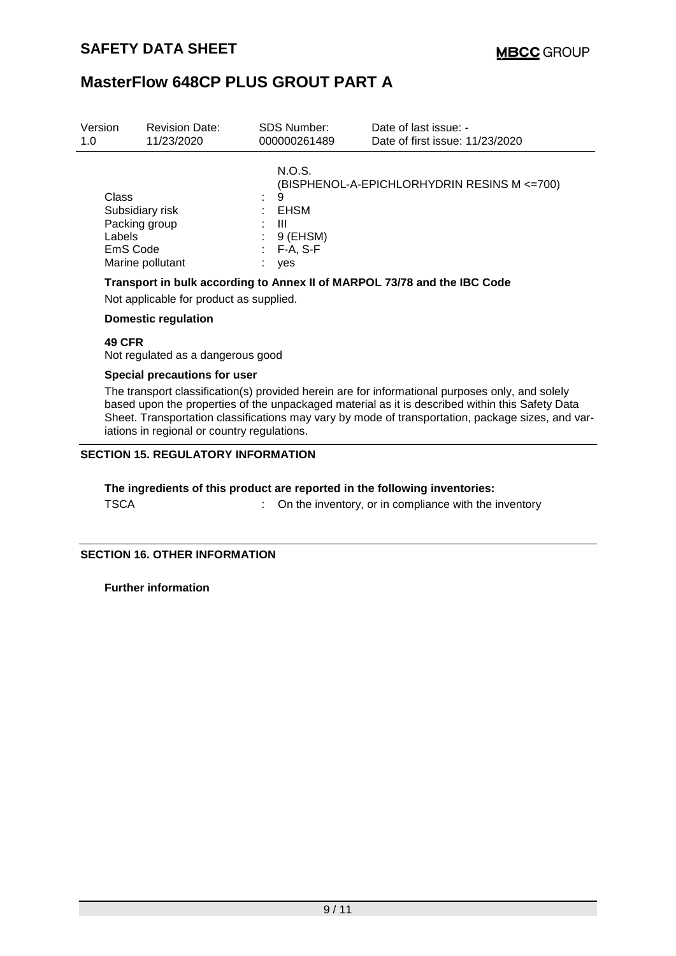| Version                                                         | <b>Revision Date:</b> |              | <b>SDS Number:</b>                                        | Date of last issue: -                        |
|-----------------------------------------------------------------|-----------------------|--------------|-----------------------------------------------------------|----------------------------------------------|
| 1.0                                                             | 11/23/2020            |              | 000000261489                                              | Date of first issue: 11/23/2020              |
| Class<br>Subsidiary risk<br>Packing group<br>Labels<br>EmS Code | Marine pollutant      | ÷.<br>٠<br>÷ | N.O.S.<br>9<br>EHSM<br>Ш<br>9 (EHSM)<br>$F-A, S-F$<br>yes | (BISPHENOL-A-EPICHLORHYDRIN RESINS M <= 700) |

### **Transport in bulk according to Annex II of MARPOL 73/78 and the IBC Code**

Not applicable for product as supplied.

#### **Domestic regulation**

**49 CFR**

Not regulated as a dangerous good

#### **Special precautions for user**

The transport classification(s) provided herein are for informational purposes only, and solely based upon the properties of the unpackaged material as it is described within this Safety Data Sheet. Transportation classifications may vary by mode of transportation, package sizes, and variations in regional or country regulations.

### **SECTION 15. REGULATORY INFORMATION**

### **The ingredients of this product are reported in the following inventories:**

TSCA : On the inventory, or in compliance with the inventory

### **SECTION 16. OTHER INFORMATION**

**Further information**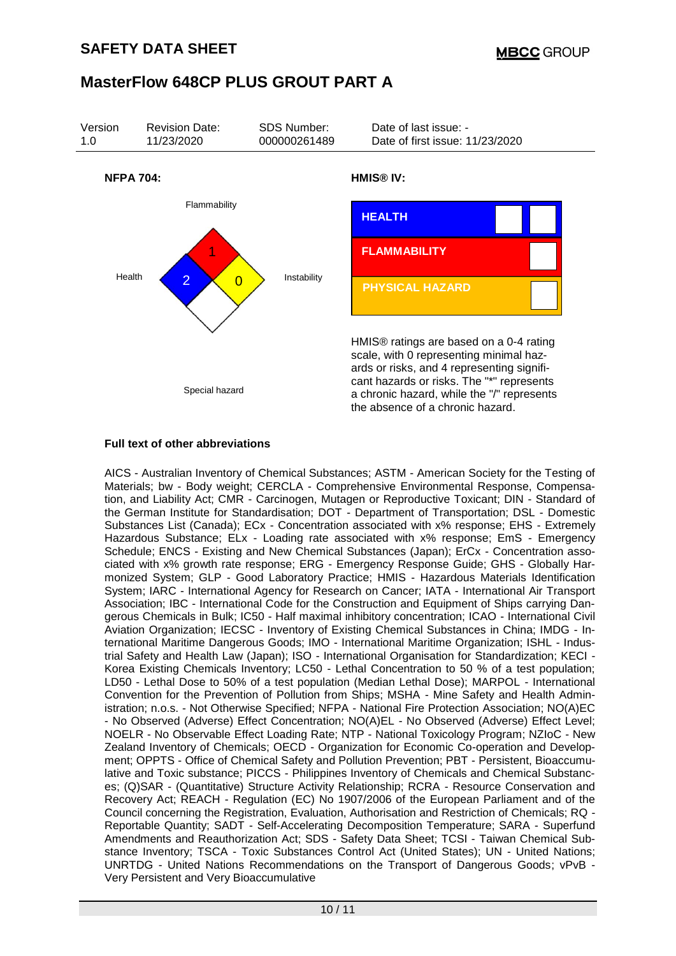

#### **Full text of other abbreviations**

AICS - Australian Inventory of Chemical Substances; ASTM - American Society for the Testing of Materials; bw - Body weight; CERCLA - Comprehensive Environmental Response, Compensation, and Liability Act; CMR - Carcinogen, Mutagen or Reproductive Toxicant; DIN - Standard of the German Institute for Standardisation; DOT - Department of Transportation; DSL - Domestic Substances List (Canada); ECx - Concentration associated with x% response; EHS - Extremely Hazardous Substance; ELx - Loading rate associated with x% response; EmS - Emergency Schedule; ENCS - Existing and New Chemical Substances (Japan); ErCx - Concentration associated with x% growth rate response; ERG - Emergency Response Guide; GHS - Globally Harmonized System; GLP - Good Laboratory Practice; HMIS - Hazardous Materials Identification System; IARC - International Agency for Research on Cancer; IATA - International Air Transport Association; IBC - International Code for the Construction and Equipment of Ships carrying Dangerous Chemicals in Bulk; IC50 - Half maximal inhibitory concentration; ICAO - International Civil Aviation Organization; IECSC - Inventory of Existing Chemical Substances in China; IMDG - International Maritime Dangerous Goods; IMO - International Maritime Organization; ISHL - Industrial Safety and Health Law (Japan); ISO - International Organisation for Standardization; KECI - Korea Existing Chemicals Inventory; LC50 - Lethal Concentration to 50 % of a test population; LD50 - Lethal Dose to 50% of a test population (Median Lethal Dose); MARPOL - International Convention for the Prevention of Pollution from Ships; MSHA - Mine Safety and Health Administration; n.o.s. - Not Otherwise Specified; NFPA - National Fire Protection Association; NO(A)EC - No Observed (Adverse) Effect Concentration; NO(A)EL - No Observed (Adverse) Effect Level; NOELR - No Observable Effect Loading Rate; NTP - National Toxicology Program; NZIoC - New Zealand Inventory of Chemicals; OECD - Organization for Economic Co-operation and Development; OPPTS - Office of Chemical Safety and Pollution Prevention; PBT - Persistent, Bioaccumulative and Toxic substance; PICCS - Philippines Inventory of Chemicals and Chemical Substances; (Q)SAR - (Quantitative) Structure Activity Relationship; RCRA - Resource Conservation and Recovery Act; REACH - Regulation (EC) No 1907/2006 of the European Parliament and of the Council concerning the Registration, Evaluation, Authorisation and Restriction of Chemicals; RQ - Reportable Quantity; SADT - Self-Accelerating Decomposition Temperature; SARA - Superfund Amendments and Reauthorization Act; SDS - Safety Data Sheet; TCSI - Taiwan Chemical Substance Inventory; TSCA - Toxic Substances Control Act (United States); UN - United Nations; UNRTDG - United Nations Recommendations on the Transport of Dangerous Goods; vPvB - Very Persistent and Very Bioaccumulative